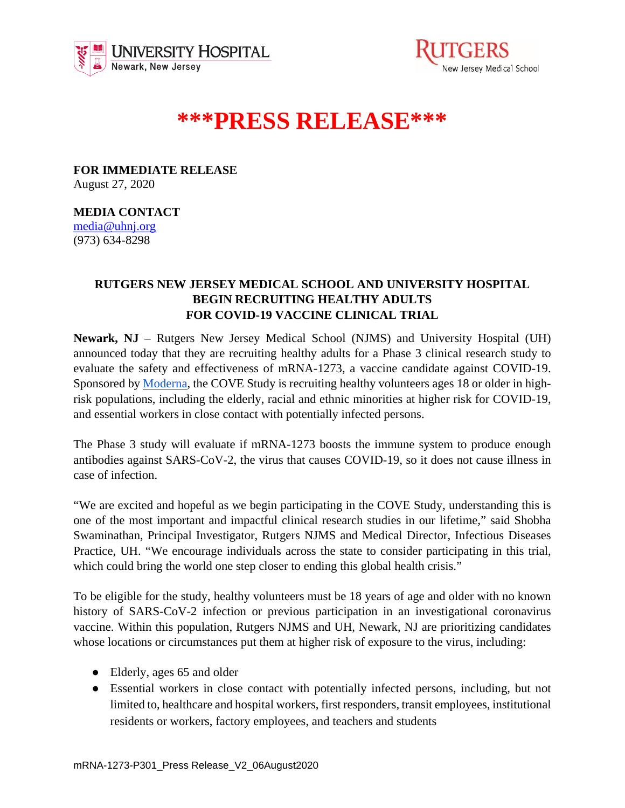



## **\*\*\*PRESS RELEASE\*\*\***

**FOR IMMEDIATE RELEASE** August 27, 2020

## **MEDIA CONTACT**

[media@uhnj.org](about:blank)  (973) 634-8298

## **RUTGERS NEW JERSEY MEDICAL SCHOOL AND UNIVERSITY HOSPITAL BEGIN RECRUITING HEALTHY ADULTS FOR COVID-19 VACCINE CLINICAL TRIAL**

**Newark, NJ** – Rutgers New Jersey Medical School (NJMS) and University Hospital (UH) announced today that they are recruiting healthy adults for a Phase 3 clinical research study to evaluate the safety and effectiveness of mRNA-1273, a vaccine candidate against COVID-19. Sponsored by [Moderna,](https://www.modernatx.com/) the COVE Study is recruiting healthy volunteers ages 18 or older in highrisk populations, including the elderly, racial and ethnic minorities at higher risk for COVID-19, and essential workers in close contact with potentially infected persons.

The Phase 3 study will evaluate if mRNA-1273 boosts the immune system to produce enough antibodies against SARS-CoV-2, the virus that causes COVID-19, so it does not cause illness in case of infection.

"We are excited and hopeful as we begin participating in the COVE Study, understanding this is one of the most important and impactful clinical research studies in our lifetime," said Shobha Swaminathan, Principal Investigator, Rutgers NJMS and Medical Director, Infectious Diseases Practice, UH. "We encourage individuals across the state to consider participating in this trial, which could bring the world one step closer to ending this global health crisis."

To be eligible for the study, healthy volunteers must be 18 years of age and older with no known history of SARS-CoV-2 infection or previous participation in an investigational coronavirus vaccine. Within this population, Rutgers NJMS and UH, Newark, NJ are prioritizing candidates whose locations or circumstances put them at higher risk of exposure to the virus, including:

- Elderly, ages 65 and older
- Essential workers in close contact with potentially infected persons, including, but not limited to, healthcare and hospital workers, first responders, transit employees, institutional residents or workers, factory employees, and teachers and students